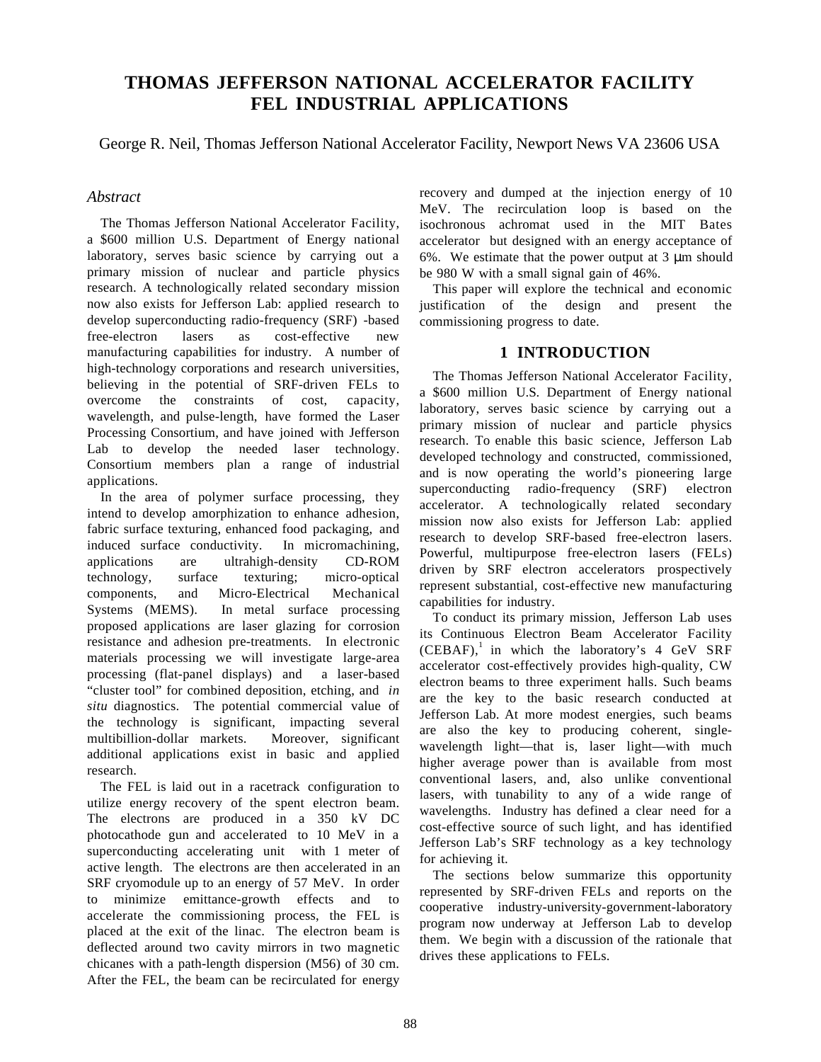# **THOMAS JEFFERSON NATIONAL ACCELERATOR FACILITY FEL INDUSTRIAL APPLICATIONS**

George R. Neil, Thomas Jefferson National Accelerator Facility, Newport News VA 23606 USA

# *Abstract*

The Thomas Jefferson National Accelerator Facility, a \$600 million U.S. Department of Energy national laboratory, serves basic science by carrying out a primary mission of nuclear and particle physics research. A technologically related secondary mission now also exists for Jefferson Lab: applied research to develop superconducting radio-frequency (SRF) -based free-electron lasers as cost-effective new manufacturing capabilities for industry. A number of high-technology corporations and research universities, believing in the potential of SRF-driven FELs to overcome the constraints of cost, capacity, wavelength, and pulse-length, have formed the Laser Processing Consortium, and have joined with Jefferson Lab to develop the needed laser technology. Consortium members plan a range of industrial applications.

In the area of polymer surface processing, they intend to develop amorphization to enhance adhesion, fabric surface texturing, enhanced food packaging, and induced surface conductivity. In micromachining, applications are ultrahigh-density CD-ROM technology, surface texturing; micro-optical components, and Micro-Electrical Mechanical Systems (MEMS). In metal surface processing proposed applications are laser glazing for corrosion resistance and adhesion pre-treatments. In electronic materials processing we will investigate large-area processing (flat-panel displays) and a laser-based "cluster tool" for combined deposition, etching, and *in situ* diagnostics. The potential commercial value of the technology is significant, impacting several multibillion-dollar markets. Moreover, significant additional applications exist in basic and applied research.

The FEL is laid out in a racetrack configuration to utilize energy recovery of the spent electron beam. The electrons are produced in a 350 kV DC photocathode gun and accelerated to 10 MeV in a superconducting accelerating unit with 1 meter of active length. The electrons are then accelerated in an SRF cryomodule up to an energy of 57 MeV. In order to minimize emittance-growth effects and to accelerate the commissioning process, the FEL is placed at the exit of the linac. The electron beam is deflected around two cavity mirrors in two magnetic chicanes with a path-length dispersion (M56) of 30 cm. After the FEL, the beam can be recirculated for energy

recovery and dumped at the injection energy of 10 MeV. The recirculation loop is based on the isochronous achromat used in the MIT Bates accelerator but designed with an energy acceptance of 6%. We estimate that the power output at 3 µm should be 980 W with a small signal gain of 46%.

This paper will explore the technical and economic justification of the design and present the commissioning progress to date.

# **1 INTRODUCTION**

The Thomas Jefferson National Accelerator Facility, a \$600 million U.S. Department of Energy national laboratory, serves basic science by carrying out a primary mission of nuclear and particle physics research. To enable this basic science, Jefferson Lab developed technology and constructed, commissioned, and is now operating the world's pioneering large superconducting radio-frequency (SRF) electron accelerator. A technologically related secondary mission now also exists for Jefferson Lab: applied research to develop SRF-based free-electron lasers. Powerful, multipurpose free-electron lasers (FELs) driven by SRF electron accelerators prospectively represent substantial, cost-effective new manufacturing capabilities for industry.

To conduct its primary mission, Jefferson Lab uses its Continuous Electron Beam Accelerator Facility  $(CEBAF)$ ,<sup>1</sup> in which the laboratory's 4 GeV SRF accelerator cost-effectively provides high-quality, CW electron beams to three experiment halls. Such beams are the key to the basic research conducted at Jefferson Lab. At more modest energies, such beams are also the key to producing coherent, singlewavelength light—that is, laser light—with much higher average power than is available from most conventional lasers, and, also unlike conventional lasers, with tunability to any of a wide range of wavelengths. Industry has defined a clear need for a cost-effective source of such light, and has identified Jefferson Lab's SRF technology as a key technology for achieving it.

The sections below summarize this opportunity represented by SRF-driven FELs and reports on the cooperative industry-university-government-laboratory program now underway at Jefferson Lab to develop them. We begin with a discussion of the rationale that drives these applications to FELs.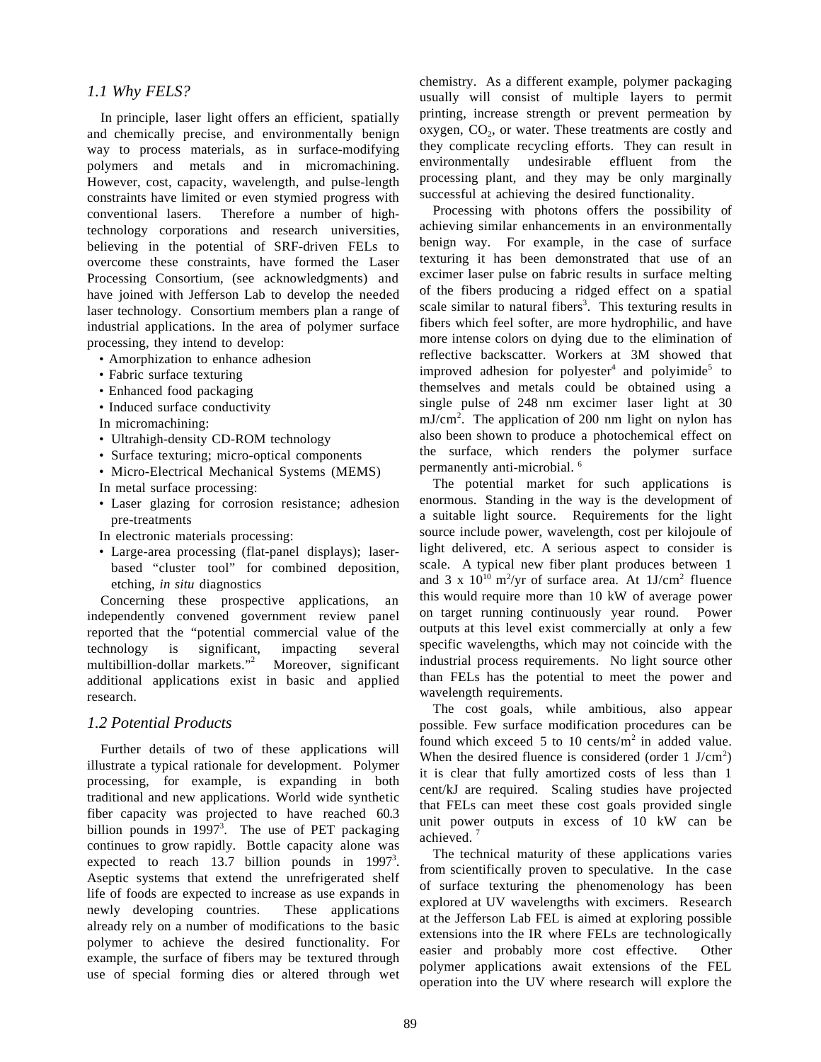## *1.1 Why FELS?*

In principle, laser light offers an efficient, spatially and chemically precise, and environmentally benign way to process materials, as in surface-modifying polymers and metals and in micromachining. However, cost, capacity, wavelength, and pulse-length constraints have limited or even stymied progress with conventional lasers. Therefore a number of hightechnology corporations and research universities, believing in the potential of SRF-driven FELs to overcome these constraints, have formed the Laser Processing Consortium, (see acknowledgments) and have joined with Jefferson Lab to develop the needed laser technology. Consortium members plan a range of industrial applications. In the area of polymer surface processing, they intend to develop:

- Amorphization to enhance adhesion
- Fabric surface texturing
- Enhanced food packaging
- Induced surface conductivity
- In micromachining:
- Ultrahigh-density CD-ROM technology
- Surface texturing; micro-optical components
- Micro-Electrical Mechanical Systems (MEMS)
- In metal surface processing:
- Laser glazing for corrosion resistance; adhesion pre-treatments
- In electronic materials processing:
- Large-area processing (flat-panel displays); laserbased "cluster tool" for combined deposition, etching, *in situ* diagnostics

Concerning these prospective applications, an independently convened government review panel reported that the "potential commercial value of the technology is significant, impacting several multibillion-dollar markets." Moreover, significant additional applications exist in basic and applied research.

## *1.2 Potential Products*

Further details of two of these applications will illustrate a typical rationale for development. Polymer processing, for example, is expanding in both traditional and new applications. World wide synthetic fiber capacity was projected to have reached 60.3 billion pounds in  $1997<sup>3</sup>$ . The use of PET packaging continues to grow rapidly. Bottle capacity alone was expected to reach 13.7 billion pounds in  $1997<sup>3</sup>$ . Aseptic systems that extend the unrefrigerated shelf life of foods are expected to increase as use expands in newly developing countries. These applications already rely on a number of modifications to the basic polymer to achieve the desired functionality. For example, the surface of fibers may be textured through use of special forming dies or altered through wet

chemistry. As a different example, polymer packaging usually will consist of multiple layers to permit printing, increase strength or prevent permeation by oxygen,  $CO<sub>2</sub>$ , or water. These treatments are costly and they complicate recycling efforts. They can result in environmentally undesirable effluent from the processing plant, and they may be only marginally successful at achieving the desired functionality.

Processing with photons offers the possibility of achieving similar enhancements in an environmentally benign way. For example, in the case of surface texturing it has been demonstrated that use of an excimer laser pulse on fabric results in surface melting of the fibers producing a ridged effect on a spatial scale similar to natural fibers<sup>3</sup>. This texturing results in fibers which feel softer, are more hydrophilic, and have more intense colors on dying due to the elimination of reflective backscatter. Workers at 3M showed that improved adhesion for polyester<sup>4</sup> and polyimide<sup>5</sup> to themselves and metals could be obtained using a single pulse of 248 nm excimer laser light at 30  $mJ/cm<sup>2</sup>$ . The application of 200 nm light on nylon has also been shown to produce a photochemical effect on the surface, which renders the polymer surface permanently anti-microbial. 6

The potential market for such applications is enormous. Standing in the way is the development of a suitable light source. Requirements for the light source include power, wavelength, cost per kilojoule of light delivered, etc. A serious aspect to consider is scale. A typical new fiber plant produces between 1 and 3 x  $10^{10}$  m<sup>2</sup>/yr of surface area. At  $1J/cm^2$  fluence this would require more than 10 kW of average power on target running continuously year round. Power outputs at this level exist commercially at only a few specific wavelengths, which may not coincide with the industrial process requirements. No light source other than FELs has the potential to meet the power and wavelength requirements.

The cost goals, while ambitious, also appear possible. Few surface modification procedures can be found which exceed 5 to 10 cents/ $m<sup>2</sup>$  in added value. When the desired fluence is considered (order  $1 \text{ J/cm}^2$ ) it is clear that fully amortized costs of less than 1 cent/kJ are required. Scaling studies have projected that FELs can meet these cost goals provided single unit power outputs in excess of 10 kW can be achieved.<sup>7</sup>

The technical maturity of these applications varies from scientifically proven to speculative. In the case of surface texturing the phenomenology has been explored at UV wavelengths with excimers. Research at the Jefferson Lab FEL is aimed at exploring possible extensions into the IR where FELs are technologically easier and probably more cost effective. Other polymer applications await extensions of the FEL operation into the UV where research will explore the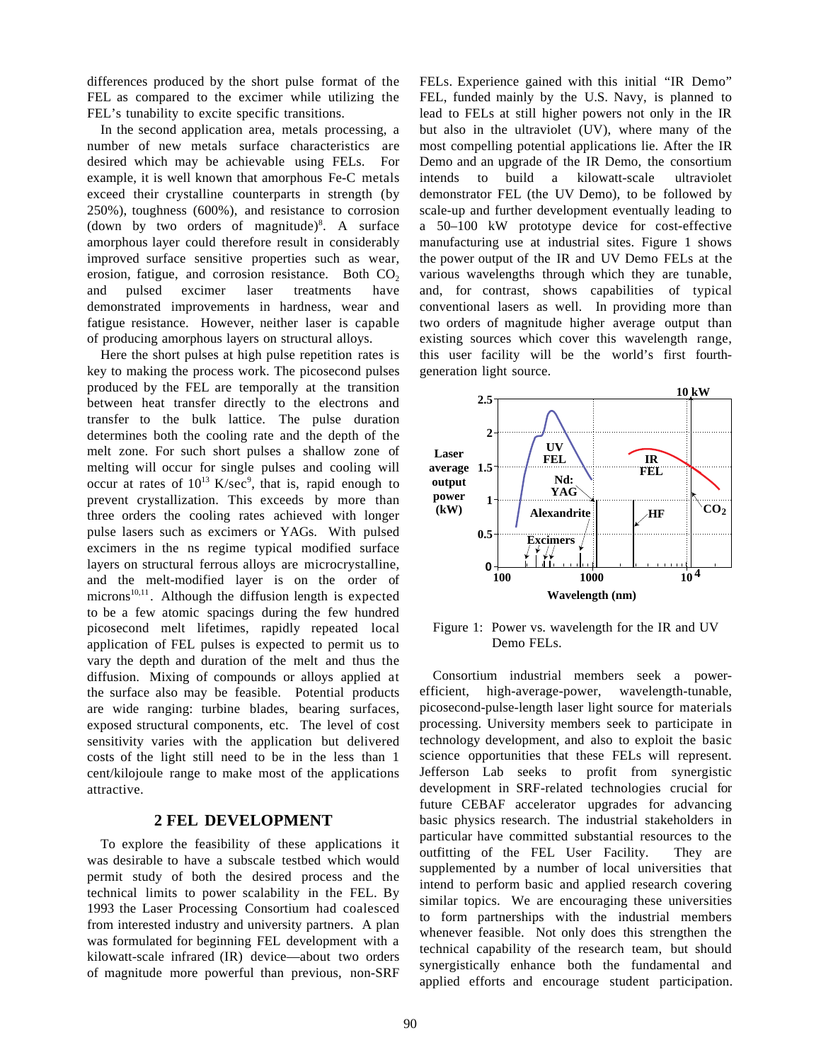differences produced by the short pulse format of the FEL as compared to the excimer while utilizing the FEL's tunability to excite specific transitions.

In the second application area, metals processing, a number of new metals surface characteristics are desired which may be achievable using FELs. For example, it is well known that amorphous Fe-C metals exceed their crystalline counterparts in strength (by 250%), toughness (600%), and resistance to corrosion (down by two orders of magnitude)<sup>8</sup>. A surface amorphous layer could therefore result in considerably improved surface sensitive properties such as wear, erosion, fatigue, and corrosion resistance. Both  $CO<sub>2</sub>$ and pulsed excimer laser treatments have demonstrated improvements in hardness, wear and fatigue resistance. However, neither laser is capable of producing amorphous layers on structural alloys.

Here the short pulses at high pulse repetition rates is key to making the process work. The picosecond pulses produced by the FEL are temporally at the transition between heat transfer directly to the electrons and transfer to the bulk lattice. The pulse duration determines both the cooling rate and the depth of the melt zone. For such short pulses a shallow zone of melting will occur for single pulses and cooling will occur at rates of  $10^{13}$  K/sec<sup>9</sup>, that is, rapid enough to prevent crystallization. This exceeds by more than three orders the cooling rates achieved with longer pulse lasers such as excimers or YAGs. With pulsed excimers in the ns regime typical modified surface layers on structural ferrous alloys are microcrystalline, and the melt-modified layer is on the order of microns<sup>10,11</sup>. Although the diffusion length is expected to be a few atomic spacings during the few hundred picosecond melt lifetimes, rapidly repeated local application of FEL pulses is expected to permit us to vary the depth and duration of the melt and thus the diffusion. Mixing of compounds or alloys applied at the surface also may be feasible. Potential products are wide ranging: turbine blades, bearing surfaces, exposed structural components, etc. The level of cost sensitivity varies with the application but delivered costs of the light still need to be in the less than 1 cent/kilojoule range to make most of the applications attractive.

## **2 FEL DEVELOPMENT**

To explore the feasibility of these applications it was desirable to have a subscale testbed which would permit study of both the desired process and the technical limits to power scalability in the FEL. By 1993 the Laser Processing Consortium had coalesced from interested industry and university partners. A plan was formulated for beginning FEL development with a kilowatt-scale infrared (IR) device—about two orders of magnitude more powerful than previous, non-SRF

FELs. Experience gained with this initial "IR Demo" FEL, funded mainly by the U.S. Navy, is planned to lead to FELs at still higher powers not only in the IR but also in the ultraviolet (UV), where many of the most compelling potential applications lie. After the IR Demo and an upgrade of the IR Demo, the consortium intends to build a kilowatt-scale ultraviolet demonstrator FEL (the UV Demo), to be followed by scale-up and further development eventually leading to a 50–100 kW prototype device for cost-effective manufacturing use at industrial sites. Figure 1 shows the power output of the IR and UV Demo FELs at the various wavelengths through which they are tunable, and, for contrast, shows capabilities of typical conventional lasers as well. In providing more than two orders of magnitude higher average output than existing sources which cover this wavelength range, this user facility will be the world's first fourthgeneration light source.



Figure 1: Power vs. wavelength for the IR and UV Demo FELs.

Consortium industrial members seek a powerefficient, high-average-power, wavelength-tunable, picosecond-pulse-length laser light source for materials processing. University members seek to participate in technology development, and also to exploit the basic science opportunities that these FELs will represent. Jefferson Lab seeks to profit from synergistic development in SRF-related technologies crucial for future CEBAF accelerator upgrades for advancing basic physics research. The industrial stakeholders in particular have committed substantial resources to the outfitting of the FEL User Facility. They are supplemented by a number of local universities that intend to perform basic and applied research covering similar topics. We are encouraging these universities to form partnerships with the industrial members whenever feasible. Not only does this strengthen the technical capability of the research team, but should synergistically enhance both the fundamental and applied efforts and encourage student participation.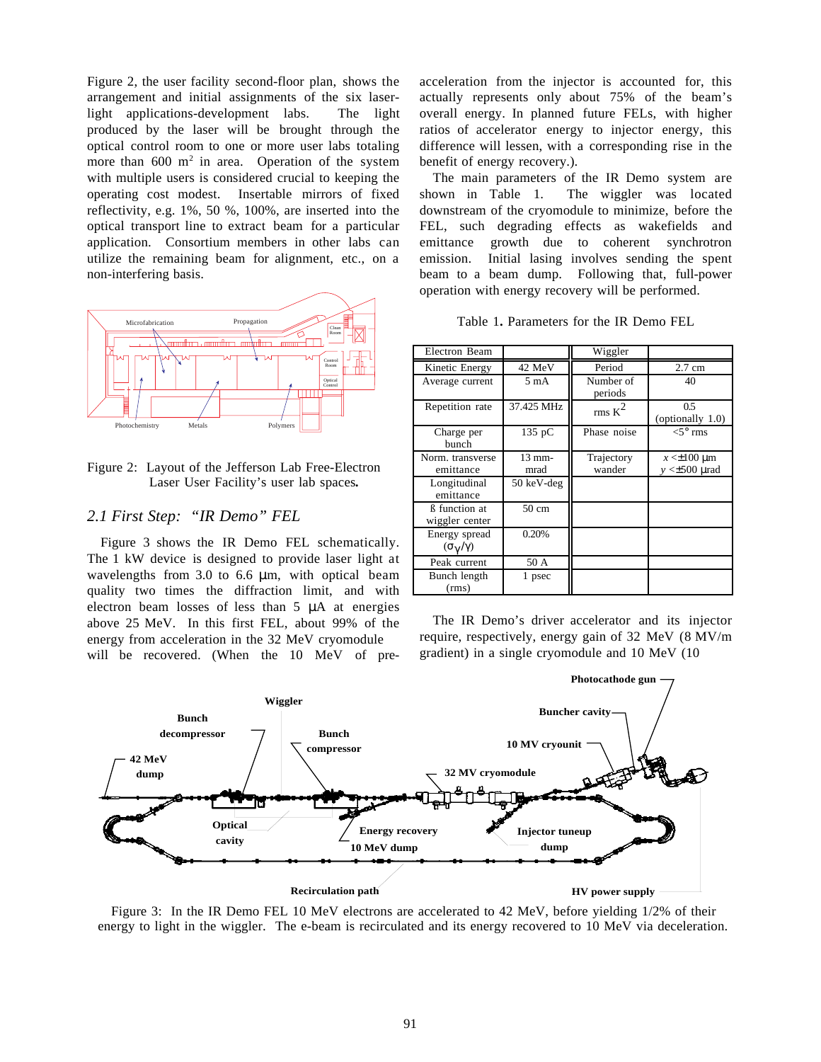Figure 2, the user facility second-floor plan, shows the arrangement and initial assignments of the six laserlight applications-development labs. The light produced by the laser will be brought through the optical control room to one or more user labs totaling more than  $600 \text{ m}^2$  in area. Operation of the system with multiple users is considered crucial to keeping the operating cost modest. Insertable mirrors of fixed reflectivity, e.g. 1%, 50 %, 100%, are inserted into the optical transport line to extract beam for a particular application. Consortium members in other labs can utilize the remaining beam for alignment, etc., on a non-interfering basis.



#### Figure 2: Layout of the Jefferson Lab Free-Electron Laser User Facility's user lab spaces*.*

### *2.1 First Step: "IR Demo" FEL*

Figure 3 shows the IR Demo FEL schematically. The 1 kW device is designed to provide laser light at wavelengths from 3.0 to 6.6  $\mu$ m, with optical beam quality two times the diffraction limit, and with electron beam losses of less than 5 µA at energies above 25 MeV. In this first FEL, about 99% of the energy from acceleration in the 32 MeV cryomodule will be recovered. (When the 10 MeV of preacceleration from the injector is accounted for, this actually represents only about 75% of the beam's overall energy. In planned future FELs, with higher ratios of accelerator energy to injector energy, this difference will lessen, with a corresponding rise in the benefit of energy recovery.).

The main parameters of the IR Demo system are shown in Table 1. The wiggler was located downstream of the cryomodule to minimize, before the FEL, such degrading effects as wakefields and emittance growth due to coherent synchrotron emission. Initial lasing involves sending the spent beam to a beam dump. Following that, full-power operation with energy recovery will be performed.

| Table 1. Parameters for the IR Demo FEL |  |  |  |  |
|-----------------------------------------|--|--|--|--|
|-----------------------------------------|--|--|--|--|

| Electron Beam                               |                  | Wiggler              |                                          |
|---------------------------------------------|------------------|----------------------|------------------------------------------|
| Kinetic Energy                              | 42 MeV           | Period               | 2.7 cm                                   |
| Average current                             | $5 \text{ mA}$   | Number of<br>periods | 40                                       |
| Repetition rate                             | 37.425 MHz       | rms K <sup>2</sup>   | 0.5<br>(optionally 1.0)                  |
| Charge per<br>bunch                         | 135 pC           | Phase noise          | $<$ 5 $\circ$ rms                        |
| Norm. transverse<br>emittance               | $13$ mm-<br>mrad | Trajectory<br>wander | $x \leq \pm 100$ um<br>$v \leq 500$ urad |
| Longitudinal<br>emittance                   | 50 keV-deg       |                      |                                          |
| <b>B</b> function at<br>wiggler center      | 50 cm            |                      |                                          |
| Energy spread<br>$(\sigma_{\gamma}/\gamma)$ | 0.20%            |                      |                                          |
| Peak current                                | 50 A             |                      |                                          |
| Bunch length<br>(rms)                       | 1 psec           |                      |                                          |

The IR Demo's driver accelerator and its injector require, respectively, energy gain of 32 MeV (8 MV/m gradient) in a single cryomodule and 10 MeV (10



Figure 3: In the IR Demo FEL 10 MeV electrons are accelerated to 42 MeV, before yielding 1/2% of their energy to light in the wiggler. The e-beam is recirculated and its energy recovered to 10 MeV via deceleration.